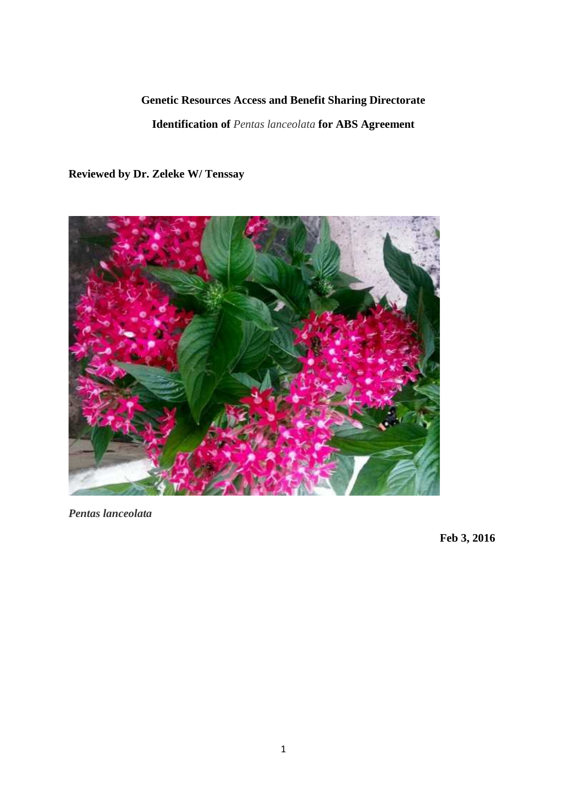# **Genetic Resources Access and Benefit Sharing Directorate**

**Identification of** *Pentas lanceolata* **for ABS Agreement**

**Reviewed by Dr. Zeleke W/ Tenssay**



*Pentas lanceolata*

**Feb 3, 2016**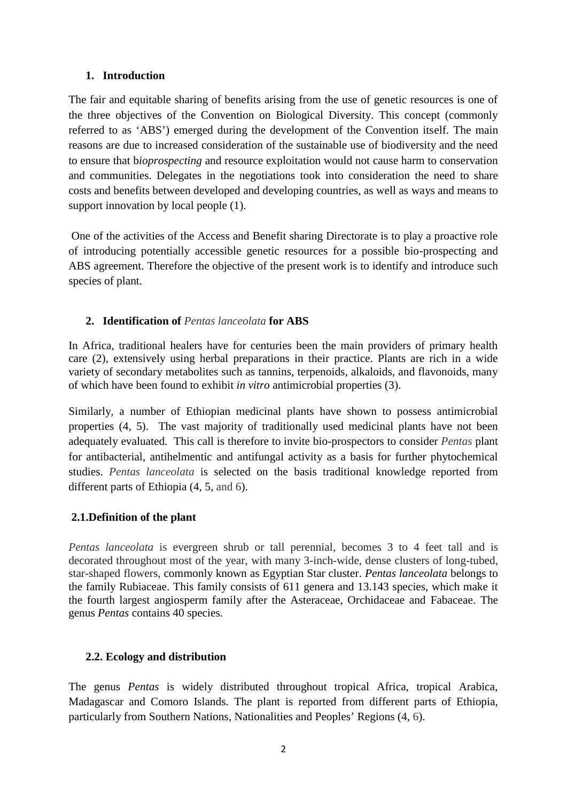#### **1. Introduction**

The fair and equitable sharing of benefits arising from the use of genetic resources is one of the three objectives of the Convention on Biological Diversity. This concept (commonly referred to as 'ABS') emerged during the development of the Convention itself. The main reasons are due to increased consideration of the sustainable use of biodiversity and the need to ensure that b*ioprospecting* and resource exploitation would not cause harm to conservation and communities. Delegates in the negotiations took into consideration the need to share costs and benefits between developed and developing countries, as well as ways and means to support innovation by local people (1).

One of the activities of the Access and Benefit sharing Directorate is to play a proactive role of introducing potentially accessible genetic resources for a possible bio-prospecting and ABS agreement. Therefore the objective of the present work is to identify and introduce such species of plant.

# **2. Identification of** *Pentas lanceolata* **for ABS**

In Africa, traditional healers have for centuries been the main providers of primary health care (2), extensively using herbal preparations in their practice. Plants are rich in a wide variety of secondary metabolites such as tannins, terpenoids, alkaloids, and flavonoids, many of which have been found to exhibit *in vitro* antimicrobial properties (3).

Similarly, a number of Ethiopian medicinal plants have shown to possess antimicrobial properties (4, 5). The vast majority of traditionally used medicinal plants have not been adequately evaluated. This call is therefore to invite bio-prospectors to consider *Pentas* plant for antibacterial, antihelmentic and antifungal activity as a basis for further phytochemical studies. *Pentas lanceolata* is selected on the basis traditional knowledge reported from different parts of Ethiopia (4, 5, and 6).

## **2.1.Definition of the plant**

*Pentas lanceolata* is evergreen shrub or tall perennial, becomes 3 to 4 feet tall and is decorated throughout most of the year, with many 3-inch-wide, dense clusters of long-tubed, star-shaped flowers, commonly known as Egyptian Star cluster. *Pentas lanceolata* belongs to the family Rubiaceae. This family consists of 611 genera and 13.143 species, which make it the fourth largest angiosperm family after the Asteraceae, Orchidaceae and Fabaceae. The genus *Pentas* contains 40 species.

## **2.2. Ecology and distribution**

The genus *Pentas* is widely distributed throughout tropical Africa, tropical Arabica, Madagascar and Comoro Islands. The plant is reported from different parts of Ethiopia, particularly from Southern Nations, Nationalities and Peoples' Regions (4, 6).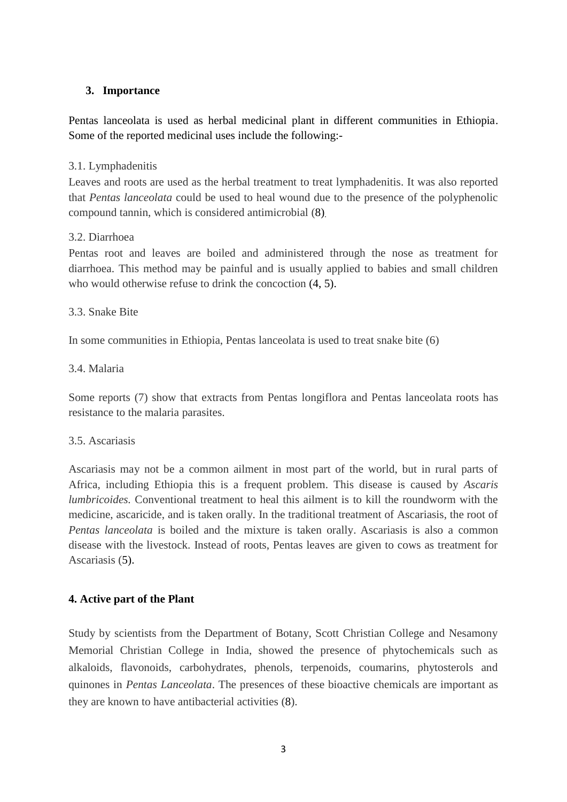## **3. Importance**

Pentas lanceolata is used as herbal medicinal plant in different communities in Ethiopia. Some of the reported medicinal uses include the following:-

### 3.1. Lymphadenitis

Leaves and roots are used as the herbal treatment to treat lymphadenitis. It was also reported that *Pentas lanceolata* could be used to heal wound due to the presence of the polyphenolic compound tannin, which is considered antimicrobial (8).

#### 3.2. Diarrhoea

Pentas root and leaves are boiled and administered through the nose as treatment for diarrhoea. This method may be painful and is usually applied to babies and small children who would otherwise refuse to drink the concoction  $(4, 5)$ .

#### 3.3. Snake Bite

In some communities in Ethiopia, Pentas lanceolata is used to treat snake bite (6)

#### 3.4. Malaria

Some reports (7) show that extracts from Pentas longiflora and Pentas lanceolata roots has resistance to the malaria parasites.

#### 3.5. Ascariasis

Ascariasis may not be a common ailment in most part of the world, but in rural parts of Africa, including Ethiopia this is a frequent problem. This disease is caused by *Ascaris lumbricoides.* Conventional treatment to heal this ailment is to kill the roundworm with the medicine, ascaricide, and is taken orally. In the traditional treatment of Ascariasis, the root of *Pentas lanceolata* is boiled and the mixture is taken orally. Ascariasis is also a common disease with the livestock. Instead of roots, Pentas leaves are given to cows as treatment for Ascariasis (5).

## **4. Active part of the Plant**

Study by scientists from the Department of Botany, Scott Christian College and Nesamony Memorial Christian College in India, showed the presence of phytochemicals such as alkaloids, flavonoids, carbohydrates, phenols, terpenoids, coumarins, phytosterols and quinones in *Pentas Lanceolata*. The presences of these bioactive chemicals are important as they are known to have antibacterial activities (8).